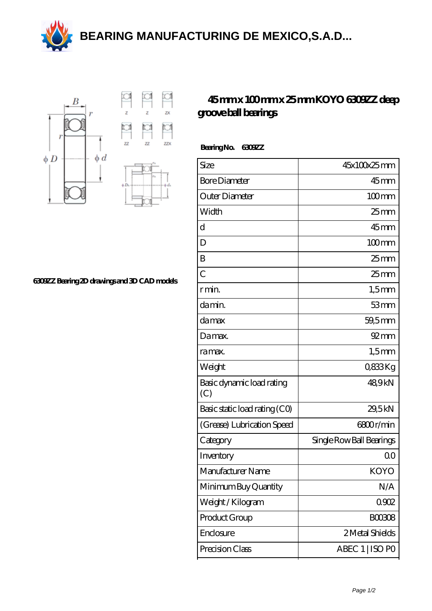**[BEARING MANUFACTURING DE MEXICO,S.A.D...](https://m.aoi-save.com)**





**[6309ZZ Bearing 2D drawings and 3D CAD models](https://m.aoi-save.com/pic-65121694.html)**

## **[45 mm x 100 mm x 25 mm KOYO 6309ZZ deep](https://m.aoi-save.com/koyo-6309zz-bearing/) [groove ball bearings](https://m.aoi-save.com/koyo-6309zz-bearing/)**

 **Bearing No. 6309ZZ**

| Size                             | 45x100x25mm              |
|----------------------------------|--------------------------|
| <b>Bore Diameter</b>             | $45$ <sub>mm</sub>       |
| Outer Diameter                   | $100$ mm                 |
| Width                            | 25 <sub>mm</sub>         |
| d                                | $45$ mm                  |
| D                                | $100$ mm                 |
| B                                | $25$ mm                  |
| $\overline{C}$                   | $25$ mm                  |
| r min.                           | $1,5$ mm                 |
| da min.                          | 53mm                     |
| damax                            | 59,5mm                   |
| Damax.                           | $92 \text{mm}$           |
| ra max.                          | $1,5$ mm                 |
| Weight                           | 0833Kg                   |
| Basic dynamic load rating<br>(C) | 489kN                    |
| Basic static load rating (CO)    | 29,5kN                   |
| (Grease) Lubrication Speed       | 6800r/min                |
| Category                         | Single Row Ball Bearings |
| Inventory                        | 0 <sup>0</sup>           |
| Manufacturer Name                | <b>KOYO</b>              |
| Minimum Buy Quantity             | N/A                      |
| Weight / Kilogram                | 0.902                    |
| Product Group                    | <b>BOO3O8</b>            |
| Enclosure                        | 2 Metal Shields          |
| Precision Class                  | ABEC 1   ISO PO          |